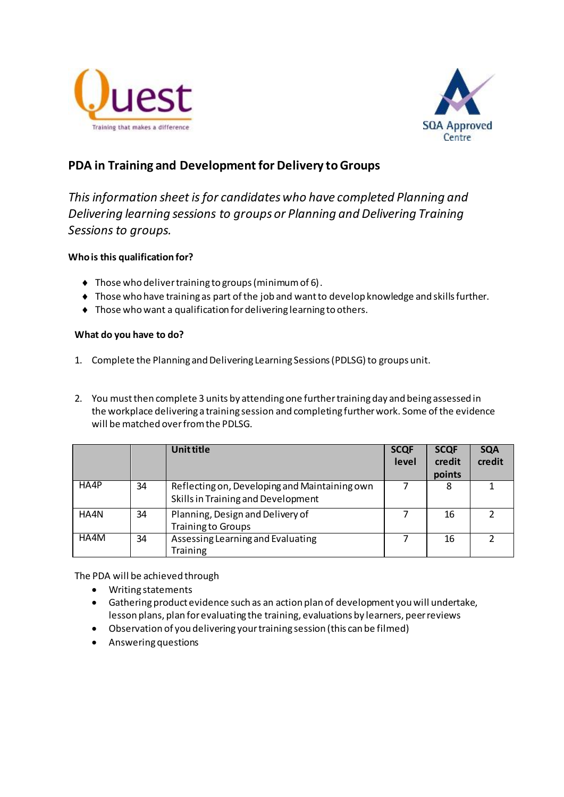



# **PDA in Training and Development for Delivery to Groups**

*This information sheet is for candidates who have completed Planning and Delivering learning sessions to groups or Planning and Delivering Training Sessions to groups.*

## **Who is this qualification for?**

- Those who deliver training to groups (minimum of 6).
- Those who have training as part of the job and want to develop knowledge and skills further.
- Those who want a qualification for delivering learning to others.

## **What do you have to do?**

- 1. Complete the Planning and Delivering Learning Sessions (PDLSG) to groups unit.
- 2. You must then complete 3 units by attending one further training day and being assessed in the workplace delivering a training session and completing further work. Some of the evidence will be matched over from the PDLSG.

|      |    | <b>Unit title</b>                                                                   | <b>SCQF</b><br>level | <b>SCQF</b><br>credit<br>points | <b>SQA</b><br>credit |
|------|----|-------------------------------------------------------------------------------------|----------------------|---------------------------------|----------------------|
| HA4P | 34 | Reflecting on, Developing and Maintaining own<br>Skills in Training and Development |                      | 8                               |                      |
| HA4N | 34 | Planning, Design and Delivery of<br><b>Training to Groups</b>                       |                      | 16                              |                      |
| HA4M | 34 | Assessing Learning and Evaluating<br><b>Training</b>                                |                      | 16                              |                      |

The PDA will be achieved through

- Writing statements
- Gathering product evidence such as an action plan of development you will undertake, lesson plans, plan for evaluating the training, evaluations by learners, peer reviews
- Observation of you delivering your training session (this can be filmed)
- Answering questions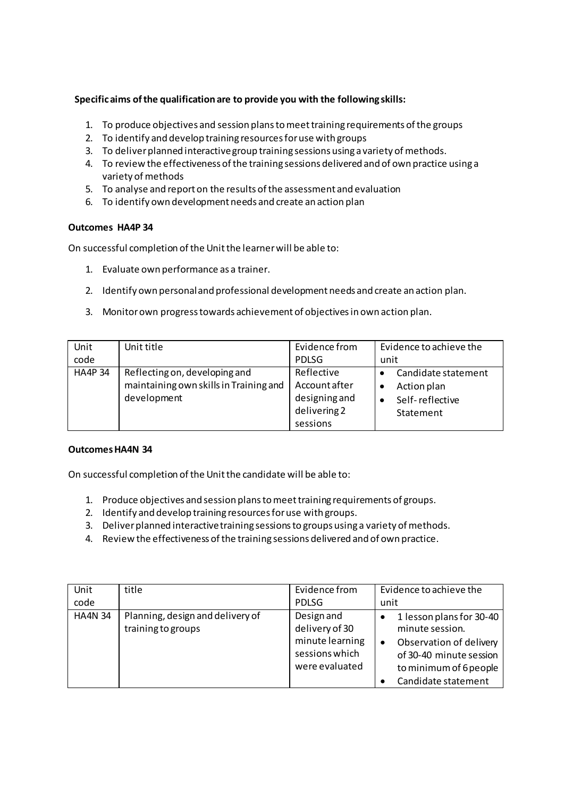## **Specific aims of the qualification are to provide you with the following skills:**

- 1. To produce objectives and session plans to meet training requirements of the groups
- 2. To identify and develop training resources for use with groups
- 3. To deliver planned interactive group training sessions using a variety of methods.
- 4. To review the effectiveness of the training sessions delivered and of own practice using a variety of methods
- 5. To analyse and report on the results of the assessment and evaluation
- 6. To identify own development needs and create an action plan

## **Outcomes HA4P 34**

On successful completion of the Unit the learner will be able to:

- 1. Evaluate own performance as a trainer.
- 2. Identify own personal and professional development needs and create an action plan.
- 3. Monitor own progress towards achievement of objectives in own action plan.

| Unit           | Unit title                                                                             | Evidence from                                                            | Evidence to achieve the                                            |
|----------------|----------------------------------------------------------------------------------------|--------------------------------------------------------------------------|--------------------------------------------------------------------|
| code           |                                                                                        | PDLSG                                                                    | unit                                                               |
| <b>HA4P 34</b> | Reflecting on, developing and<br>maintaining own skills in Training and<br>development | Reflective<br>Account after<br>designing and<br>delivering 2<br>sessions | Candidate statement<br>Action plan<br>Self-reflective<br>Statement |

#### **Outcomes HA4N 34**

On successful completion of the Unit the candidate will be able to:

- 1. Produce objectives and session plans to meet training requirements of groups.
- 2. Identify and develop training resources for use with groups.
- 3. Deliver planned interactive training sessions to groups using a variety of methods.
- 4. Review the effectiveness of the training sessions delivered and of own practice.

| Unit           | title                                                  | Evidence from                                                                       | Evidence to achieve the                                                                                                                                         |
|----------------|--------------------------------------------------------|-------------------------------------------------------------------------------------|-----------------------------------------------------------------------------------------------------------------------------------------------------------------|
| code           |                                                        | <b>PDLSG</b>                                                                        | unit                                                                                                                                                            |
| <b>HA4N 34</b> | Planning, design and delivery of<br>training to groups | Design and<br>delivery of 30<br>minute learning<br>sessions which<br>were evaluated | 1 lesson plans for 30-40<br>minute session.<br>Observation of delivery<br>$\bullet$<br>of 30-40 minute session<br>to minimum of 6 people<br>Candidate statement |